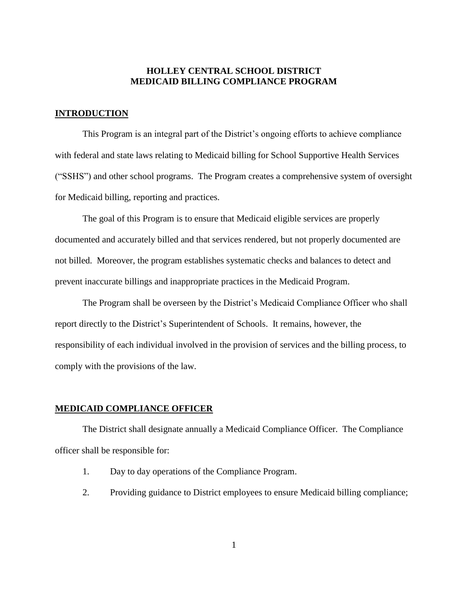# **HOLLEY CENTRAL SCHOOL DISTRICT MEDICAID BILLING COMPLIANCE PROGRAM**

## **INTRODUCTION**

This Program is an integral part of the District's ongoing efforts to achieve compliance with federal and state laws relating to Medicaid billing for School Supportive Health Services ("SSHS") and other school programs. The Program creates a comprehensive system of oversight for Medicaid billing, reporting and practices.

The goal of this Program is to ensure that Medicaid eligible services are properly documented and accurately billed and that services rendered, but not properly documented are not billed. Moreover, the program establishes systematic checks and balances to detect and prevent inaccurate billings and inappropriate practices in the Medicaid Program.

The Program shall be overseen by the District's Medicaid Compliance Officer who shall report directly to the District's Superintendent of Schools. It remains, however, the responsibility of each individual involved in the provision of services and the billing process, to comply with the provisions of the law.

## **MEDICAID COMPLIANCE OFFICER**

The District shall designate annually a Medicaid Compliance Officer. The Compliance officer shall be responsible for:

- 1. Day to day operations of the Compliance Program.
- 2. Providing guidance to District employees to ensure Medicaid billing compliance;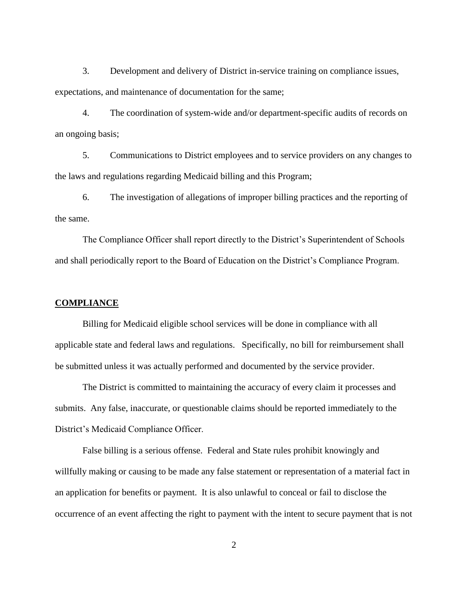3. Development and delivery of District in-service training on compliance issues, expectations, and maintenance of documentation for the same;

4. The coordination of system-wide and/or department-specific audits of records on an ongoing basis;

5. Communications to District employees and to service providers on any changes to the laws and regulations regarding Medicaid billing and this Program;

6. The investigation of allegations of improper billing practices and the reporting of the same.

The Compliance Officer shall report directly to the District's Superintendent of Schools and shall periodically report to the Board of Education on the District's Compliance Program.

## **COMPLIANCE**

Billing for Medicaid eligible school services will be done in compliance with all applicable state and federal laws and regulations. Specifically, no bill for reimbursement shall be submitted unless it was actually performed and documented by the service provider.

The District is committed to maintaining the accuracy of every claim it processes and submits. Any false, inaccurate, or questionable claims should be reported immediately to the District's Medicaid Compliance Officer.

False billing is a serious offense. Federal and State rules prohibit knowingly and willfully making or causing to be made any false statement or representation of a material fact in an application for benefits or payment. It is also unlawful to conceal or fail to disclose the occurrence of an event affecting the right to payment with the intent to secure payment that is not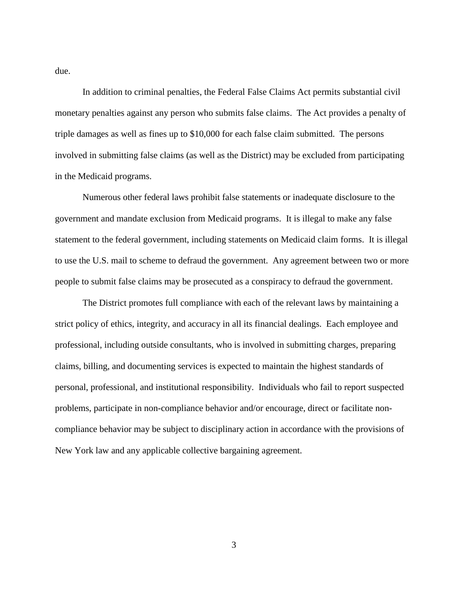due.

In addition to criminal penalties, the Federal False Claims Act permits substantial civil monetary penalties against any person who submits false claims. The Act provides a penalty of triple damages as well as fines up to \$10,000 for each false claim submitted. The persons involved in submitting false claims (as well as the District) may be excluded from participating in the Medicaid programs.

Numerous other federal laws prohibit false statements or inadequate disclosure to the government and mandate exclusion from Medicaid programs. It is illegal to make any false statement to the federal government, including statements on Medicaid claim forms. It is illegal to use the U.S. mail to scheme to defraud the government. Any agreement between two or more people to submit false claims may be prosecuted as a conspiracy to defraud the government.

The District promotes full compliance with each of the relevant laws by maintaining a strict policy of ethics, integrity, and accuracy in all its financial dealings. Each employee and professional, including outside consultants, who is involved in submitting charges, preparing claims, billing, and documenting services is expected to maintain the highest standards of personal, professional, and institutional responsibility. Individuals who fail to report suspected problems, participate in non-compliance behavior and/or encourage, direct or facilitate noncompliance behavior may be subject to disciplinary action in accordance with the provisions of New York law and any applicable collective bargaining agreement.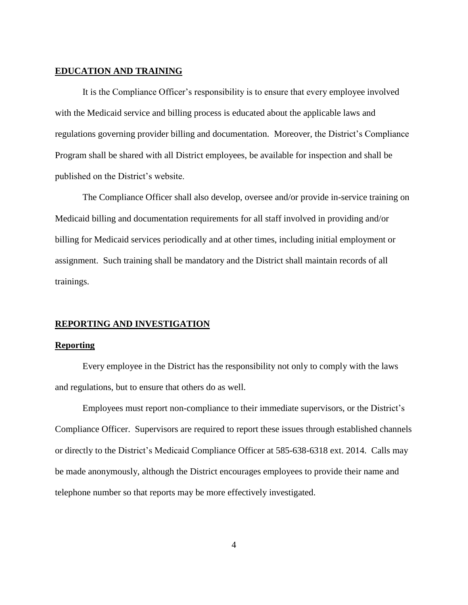## **EDUCATION AND TRAINING**

It is the Compliance Officer's responsibility is to ensure that every employee involved with the Medicaid service and billing process is educated about the applicable laws and regulations governing provider billing and documentation. Moreover, the District's Compliance Program shall be shared with all District employees, be available for inspection and shall be published on the District's website.

The Compliance Officer shall also develop, oversee and/or provide in-service training on Medicaid billing and documentation requirements for all staff involved in providing and/or billing for Medicaid services periodically and at other times, including initial employment or assignment. Such training shall be mandatory and the District shall maintain records of all trainings.

## **REPORTING AND INVESTIGATION**

## **Reporting**

Every employee in the District has the responsibility not only to comply with the laws and regulations, but to ensure that others do as well.

Employees must report non-compliance to their immediate supervisors, or the District's Compliance Officer. Supervisors are required to report these issues through established channels or directly to the District's Medicaid Compliance Officer at 585-638-6318 ext. 2014. Calls may be made anonymously, although the District encourages employees to provide their name and telephone number so that reports may be more effectively investigated.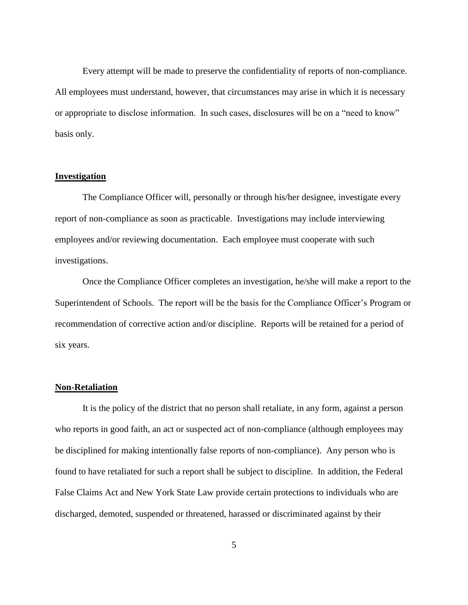Every attempt will be made to preserve the confidentiality of reports of non-compliance. All employees must understand, however, that circumstances may arise in which it is necessary or appropriate to disclose information. In such cases, disclosures will be on a "need to know" basis only.

## **Investigation**

The Compliance Officer will, personally or through his/her designee, investigate every report of non-compliance as soon as practicable. Investigations may include interviewing employees and/or reviewing documentation. Each employee must cooperate with such investigations.

Once the Compliance Officer completes an investigation, he/she will make a report to the Superintendent of Schools. The report will be the basis for the Compliance Officer's Program or recommendation of corrective action and/or discipline. Reports will be retained for a period of six years.

## **Non-Retaliation**

It is the policy of the district that no person shall retaliate, in any form, against a person who reports in good faith, an act or suspected act of non-compliance (although employees may be disciplined for making intentionally false reports of non-compliance). Any person who is found to have retaliated for such a report shall be subject to discipline. In addition, the Federal False Claims Act and New York State Law provide certain protections to individuals who are discharged, demoted, suspended or threatened, harassed or discriminated against by their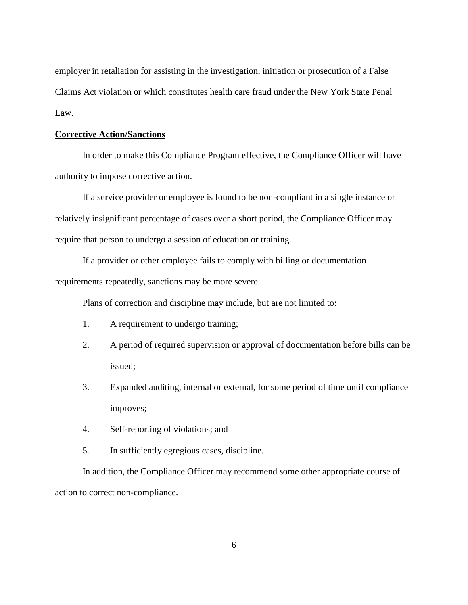employer in retaliation for assisting in the investigation, initiation or prosecution of a False Claims Act violation or which constitutes health care fraud under the New York State Penal Law.

# **Corrective Action/Sanctions**

In order to make this Compliance Program effective, the Compliance Officer will have authority to impose corrective action.

If a service provider or employee is found to be non-compliant in a single instance or relatively insignificant percentage of cases over a short period, the Compliance Officer may require that person to undergo a session of education or training.

If a provider or other employee fails to comply with billing or documentation requirements repeatedly, sanctions may be more severe.

Plans of correction and discipline may include, but are not limited to:

- 1. A requirement to undergo training;
- 2. A period of required supervision or approval of documentation before bills can be issued;
- 3. Expanded auditing, internal or external, for some period of time until compliance improves;
- 4. Self-reporting of violations; and
- 5. In sufficiently egregious cases, discipline.

In addition, the Compliance Officer may recommend some other appropriate course of action to correct non-compliance.